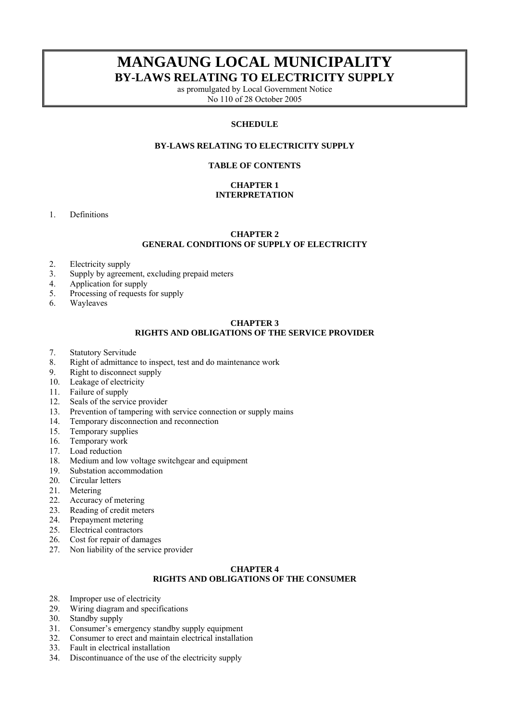# **MANGAUNG LOCAL MUNICIPALITY BY-LAWS RELATING TO ELECTRICITY SUPPLY**

as promulgated by Local Government Notice No 110 of 28 October 2005

### **SCHEDULE**

### **BY-LAWS RELATING TO ELECTRICITY SUPPLY**

#### **TABLE OF CONTENTS**

### **CHAPTER 1 INTERPRETATION**

1. Definitions

### **CHAPTER 2 GENERAL CONDITIONS OF SUPPLY OF ELECTRICITY**

- 2. Electricity supply
- 3. Supply by agreement, excluding prepaid meters
- 4. Application for supply
- 5. Processing of requests for supply
- 6. Wayleaves

# **CHAPTER 3**

# **RIGHTS AND OBLIGATIONS OF THE SERVICE PROVIDER**

- 7. Statutory Servitude
- 8. Right of admittance to inspect, test and do maintenance work
- 9. Right to disconnect supply
- 10. Leakage of electricity
- 11. Failure of supply
- 12. Seals of the service provider
- 13. Prevention of tampering with service connection or supply mains
- 14. Temporary disconnection and reconnection
- 15. Temporary supplies
- 16. Temporary work<br>17. Load reduction
- 17. Load reduction<br>18. Medium and lo
- Medium and low voltage switchgear and equipment
- 19. Substation accommodation
- 20. Circular letters
- 21. Metering
- 22. Accuracy of metering
- 23. Reading of credit meters
- 24. Prepayment metering
- 25. Electrical contractors
- 26. Cost for repair of damages
- 27. Non liability of the service provider

#### **CHAPTER 4**

# **RIGHTS AND OBLIGATIONS OF THE CONSUMER**

- 28. Improper use of electricity
- 29. Wiring diagram and specifications
- 30. Standby supply
- 31. Consumer's emergency standby supply equipment
- 32. Consumer to erect and maintain electrical installation
- 33. Fault in electrical installation
- 34. Discontinuance of the use of the electricity supply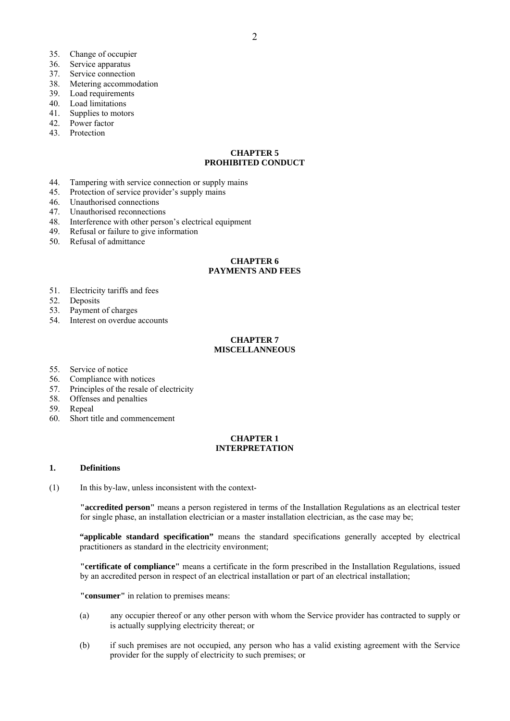- 35. Change of occupier
- 36. Service apparatus
- 37. Service connection
- 38. Metering accommodation
- 39. Load requirements
- 40. Load limitations
- 41. Supplies to motors
- 42. Power factor
- 43. Protection

### **CHAPTER 5 PROHIBITED CONDUCT**

- 44. Tampering with service connection or supply mains
- 45. Protection of service provider's supply mains
- 46. Unauthorised connections
- 47. Unauthorised reconnections
- 48. Interference with other person's electrical equipment
- 49. Refusal or failure to give information
- 50. Refusal of admittance

### **CHAPTER 6 PAYMENTS AND FEES**

- 51. Electricity tariffs and fees
- 52. Deposits
- 53. Payment of charges
- 54. Interest on overdue accounts

#### **CHAPTER 7 MISCELLANNEOUS**

- 55. Service of notice
- 56. Compliance with notices
- 57. Principles of the resale of electricity
- 58. Offenses and penalties
- 59. Repeal
- 60. Short title and commencement

### **CHAPTER 1 INTERPRETATION**

### **1. Definitions**

(1) In this by-law, unless inconsistent with the context-

**"accredited person"** means a person registered in terms of the Installation Regulations as an electrical tester for single phase, an installation electrician or a master installation electrician, as the case may be;

**"applicable standard specification"** means the standard specifications generally accepted by electrical practitioners as standard in the electricity environment;

**"certificate of compliance"** means a certificate in the form prescribed in the Installation Regulations, issued by an accredited person in respect of an electrical installation or part of an electrical installation;

**"consumer"** in relation to premises means:

- (a) any occupier thereof or any other person with whom the Service provider has contracted to supply or is actually supplying electricity thereat; or
- (b) if such premises are not occupied, any person who has a valid existing agreement with the Service provider for the supply of electricity to such premises; or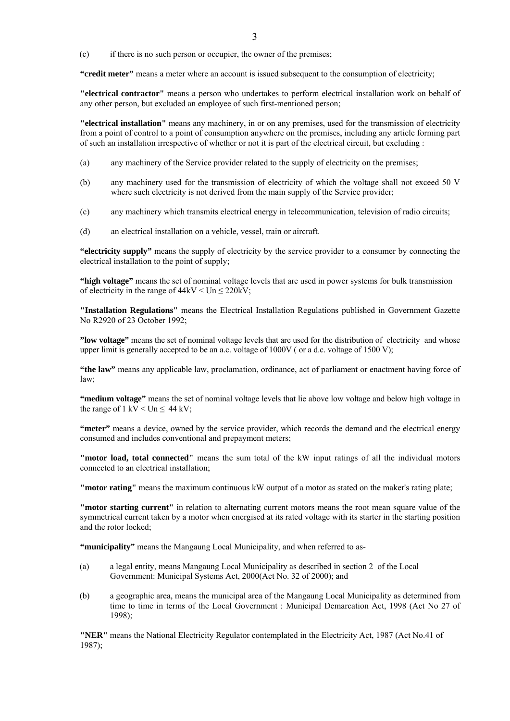(c) if there is no such person or occupier, the owner of the premises;

**"credit meter"** means a meter where an account is issued subsequent to the consumption of electricity;

**"electrical contractor"** means a person who undertakes to perform electrical installation work on behalf of any other person, but excluded an employee of such first-mentioned person;

**"electrical installation"** means any machinery, in or on any premises, used for the transmission of electricity from a point of control to a point of consumption anywhere on the premises, including any article forming part of such an installation irrespective of whether or not it is part of the electrical circuit, but excluding :

- (a) any machinery of the Service provider related to the supply of electricity on the premises;
- (b) any machinery used for the transmission of electricity of which the voltage shall not exceed 50 V where such electricity is not derived from the main supply of the Service provider;
- (c) any machinery which transmits electrical energy in telecommunication, television of radio circuits;
- (d) an electrical installation on a vehicle, vessel, train or aircraft.

**"electricity supply"** means the supply of electricity by the service provider to a consumer by connecting the electrical installation to the point of supply;

**"high voltage"** means the set of nominal voltage levels that are used in power systems for bulk transmission of electricity in the range of  $44kV <$  Un  $\leq 220kV$ ;

**"Installation Regulations"** means the Electrical Installation Regulations published in Government Gazette No R2920 of 23 October 1992;

**"low voltage"** means the set of nominal voltage levels that are used for the distribution of electricity and whose upper limit is generally accepted to be an a.c. voltage of 1000V ( or a d.c. voltage of 1500 V);

**"the law"** means any applicable law, proclamation, ordinance, act of parliament or enactment having force of law;

**"medium voltage"** means the set of nominal voltage levels that lie above low voltage and below high voltage in the range of 1 kV  $\leq$  Un  $\leq$  44 kV;

**"meter"** means a device, owned by the service provider, which records the demand and the electrical energy consumed and includes conventional and prepayment meters;

**"motor load, total connected"** means the sum total of the kW input ratings of all the individual motors connected to an electrical installation;

**"motor rating"** means the maximum continuous kW output of a motor as stated on the maker's rating plate;

**"motor starting current"** in relation to alternating current motors means the root mean square value of the symmetrical current taken by a motor when energised at its rated voltage with its starter in the starting position and the rotor locked;

**"municipality"** means the Mangaung Local Municipality, and when referred to as-

- (a) a legal entity, means Mangaung Local Municipality as described in section 2 of the Local Government: Municipal Systems Act, 2000(Act No. 32 of 2000); and
- (b) a geographic area, means the municipal area of the Mangaung Local Municipality as determined from time to time in terms of the Local Government : Municipal Demarcation Act, 1998 (Act No 27 of 1998);

**"NER"** means the National Electricity Regulator contemplated in the Electricity Act, 1987 (Act No.41 of 1987);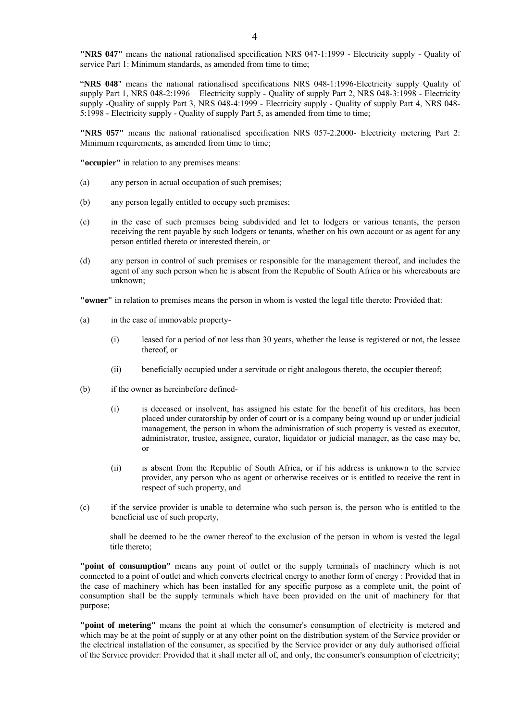**"NRS 047"** means the national rationalised specification NRS 047-1:1999 - Electricity supply - Quality of service Part 1: Minimum standards, as amended from time to time:

"**NRS 048**" means the national rationalised specifications NRS 048-1:1996-Electricity supply Quality of supply Part 1, NRS 048-2:1996 – Electricity supply - Quality of supply Part 2, NRS 048-3:1998 - Electricity supply -Quality of supply Part 3, NRS 048-4:1999 - Electricity supply - Quality of supply Part 4, NRS 048- 5:1998 - Electricity supply - Quality of supply Part 5, as amended from time to time;

**"NRS 057"** means the national rationalised specification NRS 057-2.2000- Electricity metering Part 2: Minimum requirements, as amended from time to time;

**"occupier"** in relation to any premises means:

- (a) any person in actual occupation of such premises;
- (b) any person legally entitled to occupy such premises;
- (c) in the case of such premises being subdivided and let to lodgers or various tenants, the person receiving the rent payable by such lodgers or tenants, whether on his own account or as agent for any person entitled thereto or interested therein, or
- (d) any person in control of such premises or responsible for the management thereof, and includes the agent of any such person when he is absent from the Republic of South Africa or his whereabouts are unknown;

**"owner"** in relation to premises means the person in whom is vested the legal title thereto: Provided that:

- (a) in the case of immovable property-
	- (i) leased for a period of not less than 30 years, whether the lease is registered or not, the lessee thereof, or
	- (ii) beneficially occupied under a servitude or right analogous thereto, the occupier thereof;
- (b) if the owner as hereinbefore defined-
	- (i) is deceased or insolvent, has assigned his estate for the benefit of his creditors, has been placed under curatorship by order of court or is a company being wound up or under judicial management, the person in whom the administration of such property is vested as executor, administrator, trustee, assignee, curator, liquidator or judicial manager, as the case may be, or
	- (ii) is absent from the Republic of South Africa, or if his address is unknown to the service provider, any person who as agent or otherwise receives or is entitled to receive the rent in respect of such property, and
- (c) if the service provider is unable to determine who such person is, the person who is entitled to the beneficial use of such property,

shall be deemed to be the owner thereof to the exclusion of the person in whom is vested the legal title thereto;

**"point of consumption"** means any point of outlet or the supply terminals of machinery which is not connected to a point of outlet and which converts electrical energy to another form of energy : Provided that in the case of machinery which has been installed for any specific purpose as a complete unit, the point of consumption shall be the supply terminals which have been provided on the unit of machinery for that purpose;

**"point of metering"** means the point at which the consumer's consumption of electricity is metered and which may be at the point of supply or at any other point on the distribution system of the Service provider or the electrical installation of the consumer, as specified by the Service provider or any duly authorised official of the Service provider: Provided that it shall meter all of, and only, the consumer's consumption of electricity;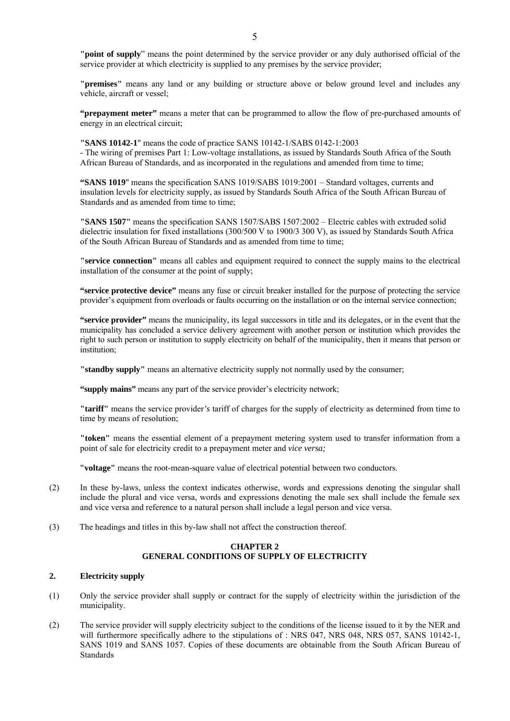**"point of supply**" means the point determined by the service provider or any duly authorised official of the service provider at which electricity is supplied to any premises by the service provider;

**"premises"** means any land or any building or structure above or below ground level and includes any vehicle, aircraft or vessel;

**"prepayment meter"** means a meter that can be programmed to allow the flow of pre-purchased amounts of energy in an electrical circuit;

**"SANS 10142-1**" means the code of practice SANS 10142-1/SABS 0142-1:2003 - The wiring of premises Part 1: Low-voltage installations, as issued by Standards South Africa of the South African Bureau of Standards, and as incorporated in the regulations and amended from time to time;

**"SANS 1019**" means the specification SANS 1019/SABS 1019:2001 – Standard voltages, currents and insulation levels for electricity supply, as issued by Standards South Africa of the South African Bureau of Standards and as amended from time to time;

**"SANS 1507"** means the specification SANS 1507/SABS 1507:2002 – Electric cables with extruded solid dielectric insulation for fixed installations (300/500 V to 1900/3 300 V), as issued by Standards South Africa of the South African Bureau of Standards and as amended from time to time;

**"service connection"** means all cables and equipment required to connect the supply mains to the electrical installation of the consumer at the point of supply;

**"service protective device"** means any fuse or circuit breaker installed for the purpose of protecting the service provider's equipment from overloads or faults occurring on the installation or on the internal service connection;

**"service provider"** means the municipality, its legal successors in title and its delegates, or in the event that the municipality has concluded a service delivery agreement with another person or institution which provides the right to such person or institution to supply electricity on behalf of the municipality, then it means that person or institution;

**"standby supply"** means an alternative electricity supply not normally used by the consumer;

**"supply mains"** means any part of the service provider's electricity network;

**"tariff"** means the service provider*'s* tariff of charges for the supply of electricity as determined from time to time by means of resolution;

**"token"** means the essential element of a prepayment metering system used to transfer information from a point of sale for electricity credit to a prepayment meter and *vice versa;*

**"voltage"** means the root-mean-square value of electrical potential between two conductors.

- (2) In these by-laws, unless the context indicates otherwise, words and expressions denoting the singular shall include the plural and vice versa, words and expressions denoting the male sex shall include the female sex and vice versa and reference to a natural person shall include a legal person and vice versa.
- (3) The headings and titles in this by-law shall not affect the construction thereof.

### **CHAPTER 2 GENERAL CONDITIONS OF SUPPLY OF ELECTRICITY**

### **2. Electricity supply**

- (1) Only the service provider shall supply or contract for the supply of electricity within the jurisdiction of the municipality.
- (2) The service provider will supply electricity subject to the conditions of the license issued to it by the NER and will furthermore specifically adhere to the stipulations of : NRS 047, NRS 048, NRS 057, SANS 10142-1, SANS 1019 and SANS 1057. Copies of these documents are obtainable from the South African Bureau of **Standards**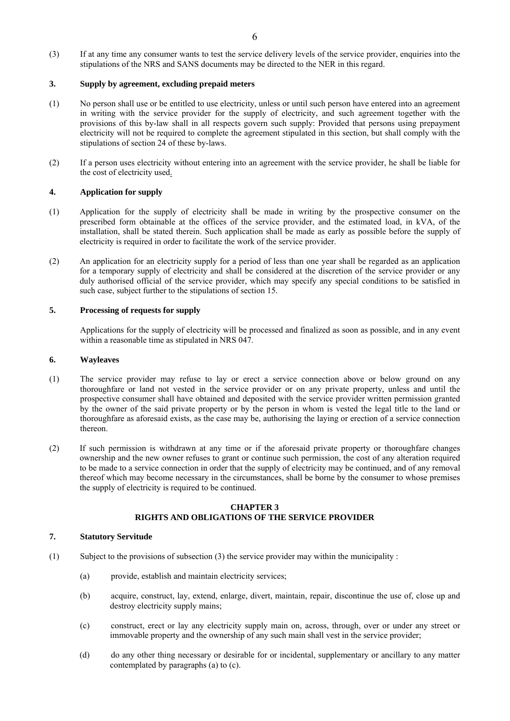(3) If at any time any consumer wants to test the service delivery levels of the service provider, enquiries into the stipulations of the NRS and SANS documents may be directed to the NER in this regard.

### **3. Supply by agreement, excluding prepaid meters**

- (1) No person shall use or be entitled to use electricity, unless or until such person have entered into an agreement in writing with the service provider for the supply of electricity, and such agreement together with the provisions of this by-law shall in all respects govern such supply: Provided that persons using prepayment electricity will not be required to complete the agreement stipulated in this section, but shall comply with the stipulations of section 24 of these by-laws.
- (2) If a person uses electricity without entering into an agreement with the service provider, he shall be liable for the cost of electricity used.

### **4. Application for supply**

- (1) Application for the supply of electricity shall be made in writing by the prospective consumer on the prescribed form obtainable at the offices of the service provider, and the estimated load, in kVA, of the installation, shall be stated therein. Such application shall be made as early as possible before the supply of electricity is required in order to facilitate the work of the service provider.
- (2) An application for an electricity supply for a period of less than one year shall be regarded as an application for a temporary supply of electricity and shall be considered at the discretion of the service provider or any duly authorised official of the service provider, which may specify any special conditions to be satisfied in such case, subject further to the stipulations of section 15.

### **5. Processing of requests for supply**

Applications for the supply of electricity will be processed and finalized as soon as possible, and in any event within a reasonable time as stipulated in NRS 047.

#### **6. Wayleaves**

- (1) The service provider may refuse to lay or erect a service connection above or below ground on any thoroughfare or land not vested in the service provider or on any private property, unless and until the prospective consumer shall have obtained and deposited with the service provider written permission granted by the owner of the said private property or by the person in whom is vested the legal title to the land or thoroughfare as aforesaid exists, as the case may be, authorising the laying or erection of a service connection thereon.
- (2) If such permission is withdrawn at any time or if the aforesaid private property or thoroughfare changes ownership and the new owner refuses to grant or continue such permission, the cost of any alteration required to be made to a service connection in order that the supply of electricity may be continued, and of any removal thereof which may become necessary in the circumstances, shall be borne by the consumer to whose premises the supply of electricity is required to be continued.

#### **CHAPTER 3 RIGHTS AND OBLIGATIONS OF THE SERVICE PROVIDER**

### **7. Statutory Servitude**

- (1) Subject to the provisions of subsection (3) the service provider may within the municipality :
	- (a) provide, establish and maintain electricity services;
	- (b) acquire, construct, lay, extend, enlarge, divert, maintain, repair, discontinue the use of, close up and destroy electricity supply mains;
	- (c) construct, erect or lay any electricity supply main on, across, through, over or under any street or immovable property and the ownership of any such main shall vest in the service provider;
	- (d) do any other thing necessary or desirable for or incidental, supplementary or ancillary to any matter contemplated by paragraphs (a) to (c).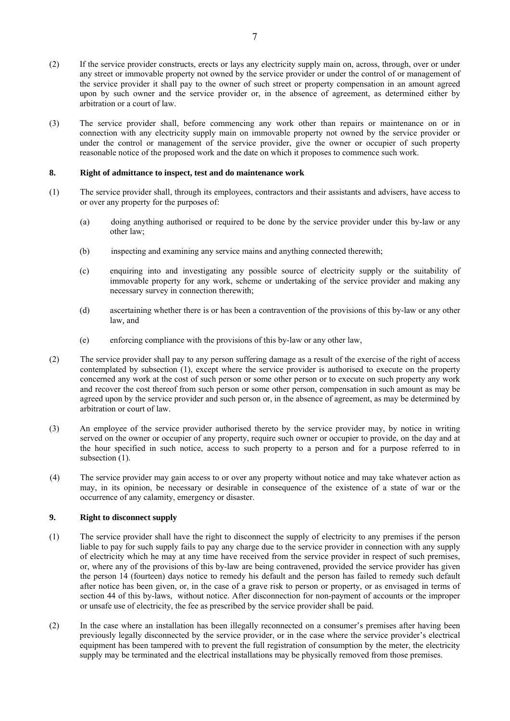- (2) If the service provider constructs, erects or lays any electricity supply main on, across, through, over or under any street or immovable property not owned by the service provider or under the control of or management of the service provider it shall pay to the owner of such street or property compensation in an amount agreed upon by such owner and the service provider or, in the absence of agreement, as determined either by arbitration or a court of law.
- (3) The service provider shall, before commencing any work other than repairs or maintenance on or in connection with any electricity supply main on immovable property not owned by the service provider or under the control or management of the service provider, give the owner or occupier of such property reasonable notice of the proposed work and the date on which it proposes to commence such work.

### **8. Right of admittance to inspect, test and do maintenance work**

- (1) The service provider shall, through its employees, contractors and their assistants and advisers, have access to or over any property for the purposes of:
	- (a) doing anything authorised or required to be done by the service provider under this by-law or any other law;
	- (b) inspecting and examining any service mains and anything connected therewith;
	- (c) enquiring into and investigating any possible source of electricity supply or the suitability of immovable property for any work, scheme or undertaking of the service provider and making any necessary survey in connection therewith;
	- (d) ascertaining whether there is or has been a contravention of the provisions of this by-law or any other law*,* and
	- (e) enforcing compliance with the provisions of this by-law or any other law,
- (2) The service provider shall pay to any person suffering damage as a result of the exercise of the right of access contemplated by subsection (1), except where the service provider is authorised to execute on the property concerned any work at the cost of such person or some other person or to execute on such property any work and recover the cost thereof from such person or some other person, compensation in such amount as may be agreed upon by the service provider and such person or, in the absence of agreement, as may be determined by arbitration or court of law.
- (3) An employee of the service provider authorised thereto by the service provider may, by notice in writing served on the owner or occupier of any property, require such owner or occupier to provide, on the day and at the hour specified in such notice, access to such property to a person and for a purpose referred to in subsection  $(1)$ .
- (4) The service provider may gain access to or over any property without notice and may take whatever action as may, in its opinion, be necessary or desirable in consequence of the existence of a state of war or the occurrence of any calamity, emergency or disaster.

### **9. Right to disconnect supply**

- (1) The service provider shall have the right to disconnect the supply of electricity to any premises if the person liable to pay for such supply fails to pay any charge due to the service provider in connection with any supply of electricity which he may at any time have received from the service provider in respect of such premises, or, where any of the provisions of this by-law are being contravened, provided the service provider has given the person 14 (fourteen) days notice to remedy his default and the person has failed to remedy such default after notice has been given, or, in the case of a grave risk to person or property, or as envisaged in terms of section 44 of this by-laws, without notice. After disconnection for non-payment of accounts or the improper or unsafe use of electricity, the fee as prescribed by the service provider shall be paid.
- (2) In the case where an installation has been illegally reconnected on a consumer's premises after having been previously legally disconnected by the service provider, or in the case where the service provider's electrical equipment has been tampered with to prevent the full registration of consumption by the meter, the electricity supply may be terminated and the electrical installations may be physically removed from those premises.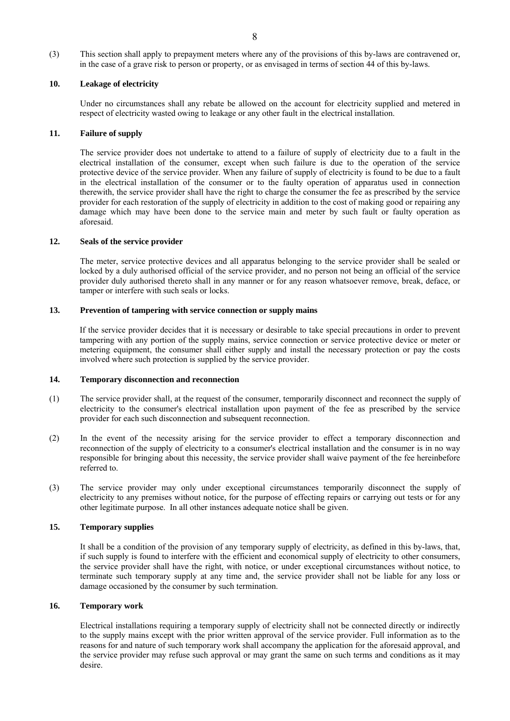(3) This section shall apply to prepayment meters where any of the provisions of this by-laws are contravened or, in the case of a grave risk to person or property, or as envisaged in terms of section 44 of this by-laws.

# **10. Leakage of electricity**

 Under no circumstances shall any rebate be allowed on the account for electricity supplied and metered in respect of electricity wasted owing to leakage or any other fault in the electrical installation.

# **11. Failure of supply**

 The service provider does not undertake to attend to a failure of supply of electricity due to a fault in the electrical installation of the consumer, except when such failure is due to the operation of the service protective device of the *s*ervice provider. When any failure of supply of electricity is found to be due to a fault in the electrical installation of the consumer or to the faulty operation of apparatus used in connection therewith, the service provider shall have the right to charge the consumer the fee as prescribed by the service provider for each restoration of the supply of electricity in addition to the cost of making good or repairing any damage which may have been done to the service main and meter by such fault or faulty operation as aforesaid.

# **12. Seals of the service provider**

 The meter, service protective devices and all apparatus belonging to the service provider shall be sealed or locked by a duly authorised official of the service provider, and no person not being an official of the service provider duly authorised thereto shall in any manner or for any reason whatsoever remove, break, deface, or tamper or interfere with such seals or locks.

# **13. Prevention of tampering with service connection or supply mains**

If the service provider decides that it is necessary or desirable to take special precautions in order to prevent tampering with any portion of the supply mains, service connection or service protective device or meter or metering equipment, the consumer shall either supply and install the necessary protection or pay the costs involved where such protection is supplied by the service provider.

# **14. Temporary disconnection and reconnection**

- (1) The service provider shall, at the request of the consumer, temporarily disconnect and reconnect the supply of electricity to the consumer's electrical installation upon payment of the fee as prescribed by the service provider for each such disconnection and subsequent reconnection.
- (2) In the event of the necessity arising for the service provider to effect a temporary disconnection and reconnection of the supply of electricity to a consumer's electrical installation and the consumer is in no way responsible for bringing about this necessity, the service provider shall waive payment of the fee hereinbefore referred to.
- (3) The service provider may only under exceptional circumstances temporarily disconnect the supply of electricity to any premises without notice, for the purpose of effecting repairs or carrying out tests or for any other legitimate purpose. In all other instances adequate notice shall be given.

# **15. Temporary supplies**

It shall be a condition of the provision of any temporary supply of electricity, as defined in this by-laws, that, if such supply is found to interfere with the efficient and economical supply of electricity to other consumers, the service provider shall have the right, with notice, or under exceptional circumstances without notice, to terminate such temporary supply at any time and, the service provider shall not be liable for any loss or damage occasioned by the consumer by such termination.

# **16. Temporary work**

 Electrical installations requiring a temporary supply of electricity shall not be connected directly or indirectly to the supply mains except with the prior written approval of the service provider. Full information as to the reasons for and nature of such temporary work shall accompany the application for the aforesaid approval, and the service provider may refuse such approval or may grant the same on such terms and conditions as it may desire.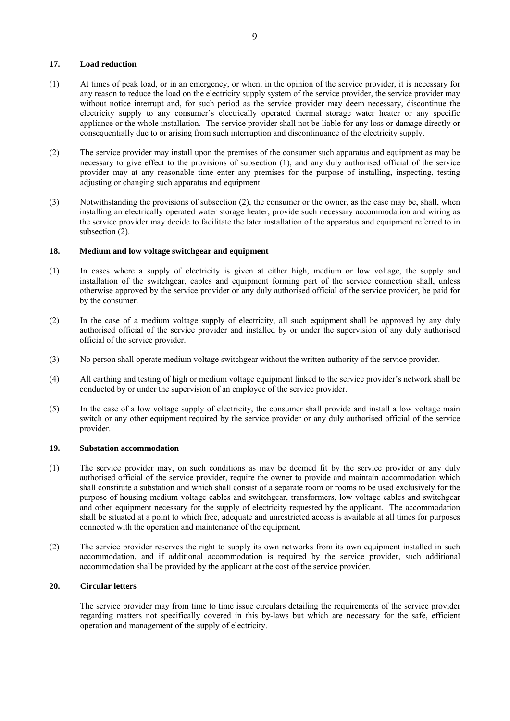### **17. Load reduction**

- (1) At times of peak load, or in an emergency, or when, in the opinion of the service provider, it is necessary for any reason to reduce the load on the electricity supply system of the service provider, the service provider may without notice interrupt and, for such period as the service provider may deem necessary, discontinue the electricity supply to any consumer's electrically operated thermal storage water heater or any specific appliance or the whole installation. The service provider shall not be liable for any loss or damage directly or consequentially due to or arising from such interruption and discontinuance of the electricity supply.
- (2) The service provider may install upon the premises of the consumer such apparatus and equipment as may be necessary to give effect to the provisions of subsection (1), and any duly authorised official of the service provider may at any reasonable time enter any premises for the purpose of installing, inspecting, testing adjusting or changing such apparatus and equipment.
- (3) Notwithstanding the provisions of subsection (2), the consumer or the owner, as the case may be, shall, when installing an electrically operated water storage heater, provide such necessary accommodation and wiring as the service provider may decide to facilitate the later installation of the apparatus and equipment referred to in subsection  $(2)$ .

### **18. Medium and low voltage switchgear and equipment**

- (1) In cases where a supply of electricity is given at either high, medium or low voltage, the supply and installation of the switchgear, cables and equipment forming part of the service connection shall, unless otherwise approved by the service provider or any duly authorised official of the service provider, be paid for by the consumer.
- (2) In the case of a medium voltage supply of electricity, all such equipment shall be approved by any duly authorised official of the service provider and installed by or under the supervision of any duly authorised official of the service provider.
- (3) No person shall operate medium voltage switchgear without the written authority of the service provider.
- (4) All earthing and testing of high or medium voltage equipment linked to the service provider's network shall be conducted by or under the supervision of an employee of the service provider.
- (5) In the case of a low voltage supply of electricity, the consumer shall provide and install a low voltage main switch or any other equipment required by the service provider or any duly authorised official of the service provider.

## **19. Substation accommodation**

- (1) The service provider may, on such conditions as may be deemed fit by the service provider or any duly authorised official of the service provider, require the owner to provide and maintain accommodation which shall constitute a substation and which shall consist of a separate room or rooms to be used exclusively for the purpose of housing medium voltage cables and switchgear, transformers, low voltage cables and switchgear and other equipment necessary for the supply of electricity requested by the applicant. The accommodation shall be situated at a point to which free, adequate and unrestricted access is available at all times for purposes connected with the operation and maintenance of the equipment.
- (2) The service provider reserves the right to supply its own networks from its own equipment installed in such accommodation, and if additional accommodation is required by the service provider, such additional accommodation shall be provided by the applicant at the cost of the service provider.

#### **20. Circular letters**

The service provider may from time to time issue circulars detailing the requirements of the service provider regarding matters not specifically covered in this by-laws but which are necessary for the safe, efficient operation and management of the supply of electricity.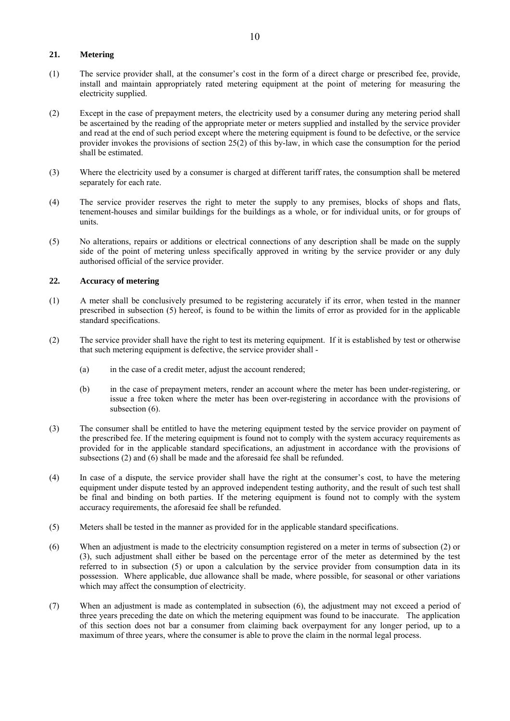### **21. Metering**

- (1) The service provider shall, at the consumer's cost in the form of a direct charge or prescribed fee, provide, install and maintain appropriately rated metering equipment at the point of metering for measuring the electricity supplied.
- (2) Except in the case of prepayment meters, the electricity used by a consumer during any metering period shall be ascertained by the reading of the appropriate meter or meters supplied and installed by the service provider and read at the end of such period except where the metering equipment is found to be defective, or the service provider invokes the provisions of section 25(2) of this by-law, in which case the consumption for the period shall be estimated.
- (3) Where the electricity used by a consumer is charged at different tariff rates, the consumption shall be metered separately for each rate.
- (4) The service provider reserves the right to meter the supply to any premises, blocks of shops and flats, tenement-houses and similar buildings for the buildings as a whole, or for individual units, or for groups of units.
- (5) No alterations, repairs or additions or electrical connections of any description shall be made on the supply side of the point of metering unless specifically approved in writing by the service provider or any duly authorised official of the service provider.

### **22. Accuracy of metering**

- (1) A meter shall be conclusively presumed to be registering accurately if its error, when tested in the manner prescribed in subsection (5) hereof, is found to be within the limits of error as provided for in the applicable standard specifications.
- (2) The service provider shall have the right to test its metering equipment. If it is established by test or otherwise that such metering equipment is defective, the service provider shall -
	- (a) in the case of a credit meter, adjust the account rendered;
	- (b) in the case of prepayment meters, render an account where the meter has been under-registering, or issue a free token where the meter has been over-registering in accordance with the provisions of subsection  $(6)$ .
- (3) The consumer shall be entitled to have the metering equipment tested by the service provider on payment of the prescribed fee. If the metering equipment is found not to comply with the system accuracy requirements as provided for in the applicable standard specifications, an adjustment in accordance with the provisions of subsections (2) and (6) shall be made and the aforesaid fee shall be refunded.
- (4) In case of a dispute, the service provider shall have the right at the consumer's cost, to have the metering equipment under dispute tested by an approved independent testing authority, and the result of such test shall be final and binding on both parties. If the metering equipment is found not to comply with the system accuracy requirements, the aforesaid fee shall be refunded.
- (5) Meters shall be tested in the manner as provided for in the applicable standard specifications.
- (6) When an adjustment is made to the electricity consumption registered on a meter in terms of subsection (2) or (3), such adjustment shall either be based on the percentage error of the meter as determined by the test referred to in subsection (5) or upon a calculation by the service provider from consumption data in its possession. Where applicable, due allowance shall be made, where possible, for seasonal or other variations which may affect the consumption of electricity.
- (7) When an adjustment is made as contemplated in subsection (6), the adjustment may not exceed a period of three years preceding the date on which the metering equipment was found to be inaccurate. The application of this section does not bar a consumer from claiming back overpayment for any longer period, up to a maximum of three years, where the consumer is able to prove the claim in the normal legal process.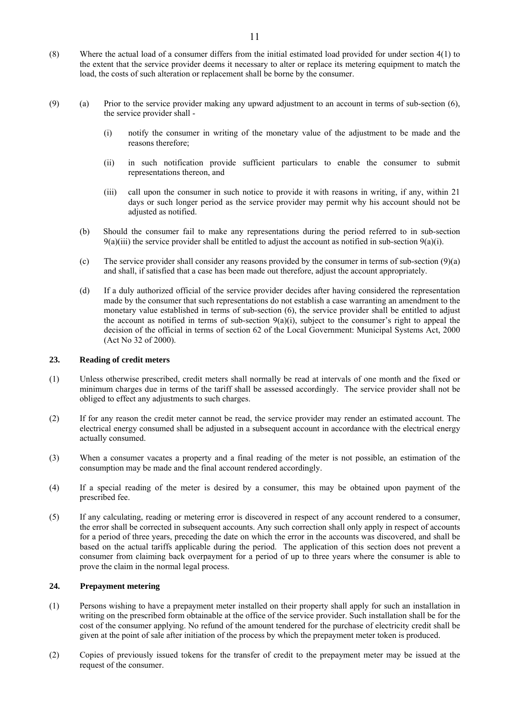- (8) Where the actual load of a consumer differs from the initial estimated load provided for under section 4(1) to the extent that the service provider deems it necessary to alter or replace its metering equipment to match the load, the costs of such alteration or replacement shall be borne by the consumer.
- (9) (a) Prior to the service provider making any upward adjustment to an account in terms of sub-section (6), the service provider shall -
	- (i) notify the consumer in writing of the monetary value of the adjustment to be made and the reasons therefore;
	- (ii) in such notification provide sufficient particulars to enable the consumer to submit representations thereon, and
	- (iii) call upon the consumer in such notice to provide it with reasons in writing, if any, within 21 days or such longer period as the service provider may permit why his account should not be adjusted as notified.
	- (b) Should the consumer fail to make any representations during the period referred to in sub-section  $9(a)$ (iii) the service provider shall be entitled to adjust the account as notified in sub-section  $9(a)$ (i).
	- (c) The service provider shall consider any reasons provided by the consumer in terms of sub-section (9)(a) and shall, if satisfied that a case has been made out therefore, adjust the account appropriately.
	- (d) If a duly authorized official of the service provider decides after having considered the representation made by the consumer that such representations do not establish a case warranting an amendment to the monetary value established in terms of sub-section (6), the service provider shall be entitled to adjust the account as notified in terms of sub-section  $9(a)(i)$ , subject to the consumer's right to appeal the decision of the official in terms of section 62 of the Local Government: Municipal Systems Act, 2000 (Act No 32 of 2000).

### **23. Reading of credit meters**

- (1) Unless otherwise prescribed, credit meters shall normally be read at intervals of one month and the fixed or minimum charges due in terms of the tariff shall be assessed accordingly. The service provider shall not be obliged to effect any adjustments to such charges.
- (2) If for any reason the credit meter cannot be read, the service provider may render an estimated account. The electrical energy consumed shall be adjusted in a subsequent account in accordance with the electrical energy actually consumed.
- (3) When a consumer vacates a property and a final reading of the meter is not possible, an estimation of the consumption may be made and the final account rendered accordingly.
- (4) If a special reading of the meter is desired by a consumer, this may be obtained upon payment of the prescribed fee.
- (5) If any calculating, reading or metering error is discovered in respect of any account rendered to a consumer, the error shall be corrected in subsequent accounts. Any such correction shall only apply in respect of accounts for a period of three years, preceding the date on which the error in the accounts was discovered, and shall be based on the actual tariffs applicable during the period. The application of this section does not prevent a consumer from claiming back overpayment for a period of up to three years where the consumer is able to prove the claim in the normal legal process.

### **24. Prepayment metering**

- (1) Persons wishing to have a prepayment meter installed on their property shall apply for such an installation in writing on the prescribed form obtainable at the office of the service provider. Such installation shall be for the cost of the consumer applying. No refund of the amount tendered for the purchase of electricity credit shall be given at the point of sale after initiation of the process by which the prepayment meter token is produced.
- (2) Copies of previously issued tokens for the transfer of credit to the prepayment meter may be issued at the request of the consumer.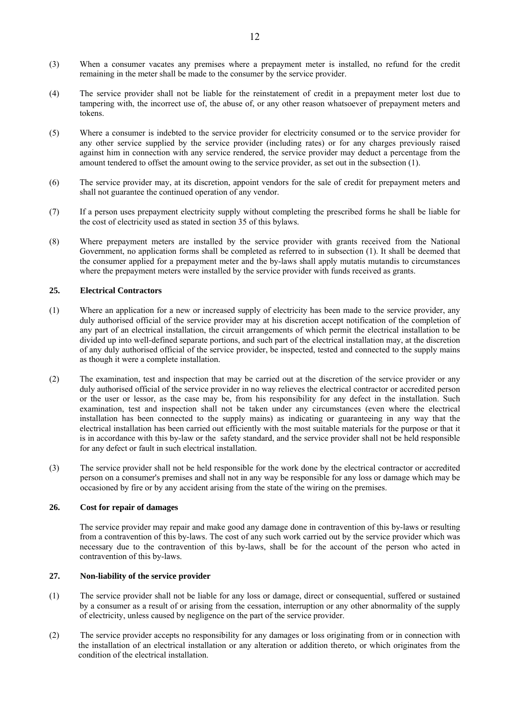- (3) When a consumer vacates any premises where a prepayment meter is installed, no refund for the credit remaining in the meter shall be made to the consumer by the service provider.
- (4) The service provider shall not be liable for the reinstatement of credit in a prepayment meter lost due to tampering with, the incorrect use of, the abuse of, or any other reason whatsoever of prepayment meters and tokens.
- (5) Where a consumer is indebted to the service provider for electricity consumed or to the service provider for any other service supplied by the service provider (including rates) or for any charges previously raised against him in connection with any service rendered, the service provider may deduct a percentage from the amount tendered to offset the amount owing to the *s*ervice provider, as set out in the subsection (1).
- (6) The service provider may, at its discretion, appoint vendors for the sale of credit for prepayment meters and shall not guarantee the continued operation of any vendor.
- (7) If a person uses prepayment electricity supply without completing the prescribed forms he shall be liable for the cost of electricity used as stated in section 35 of this bylaws.
- (8) Where prepayment meters are installed by the service provider with grants received from the National Government, no application forms shall be completed as referred to in subsection (1). It shall be deemed that the consumer applied for a prepayment meter and the by-laws shall apply mutatis mutandis to circumstances where the prepayment meters were installed by the service provider with funds received as grants.

### **25. Electrical Contractors**

- (1) Where an application for a new or increased supply of electricity has been made to the service provider, any duly authorised official of the service provider may at his discretion accept notification of the completion of any part of an electrical installation, the circuit arrangements of which permit the electrical installation to be divided up into well-defined separate portions, and such part of the electrical installation may, at the discretion of any duly authorised official of the service provider, be inspected, tested and connected to the supply mains as though it were a complete installation.
- (2) The examination, test and inspection that may be carried out at the discretion of the service provider or any duly authorised official of the service provider in no way relieves the electrical contractor or accredited person or the user or lessor, as the case may be, from his responsibility for any defect in the installation. Such examination, test and inspection shall not be taken under any circumstances (even where the electrical installation has been connected to the supply mains) as indicating or guaranteeing in any way that the electrical installation has been carried out efficiently with the most suitable materials for the purpose or that it is in accordance with this by-law or the safety standard, and the service provider shall not be held responsible for any defect or fault in such electrical installation.
- (3) The service provider shall not be held responsible for the work done by the electrical contractor or accredited person on a consumer's premises and shall not in any way be responsible for any loss or damage which may be occasioned by fire or by any accident arising from the state of the wiring on the premises.

### **26. Cost for repair of damages**

The service provider may repair and make good any damage done in contravention of this by-laws or resulting from a contravention of this by-laws. The cost of any such work carried out by the service provider which was necessary due to the contravention of this by-laws, shall be for the account of the person who acted in contravention of this by-laws.

### **27. Non-liability of the service provider**

- (1) The service provider shall not be liable for any loss or damage, direct or consequential, suffered or sustained by a consumer as a result of or arising from the cessation, interruption or any other abnormality of the supply of electricity, unless caused by negligence on the part of the service provider.
- (2) The service provider accepts no responsibility for any damages or loss originating from or in connection with the installation of an electrical installation or any alteration or addition thereto, or which originates from the condition of the electrical installation.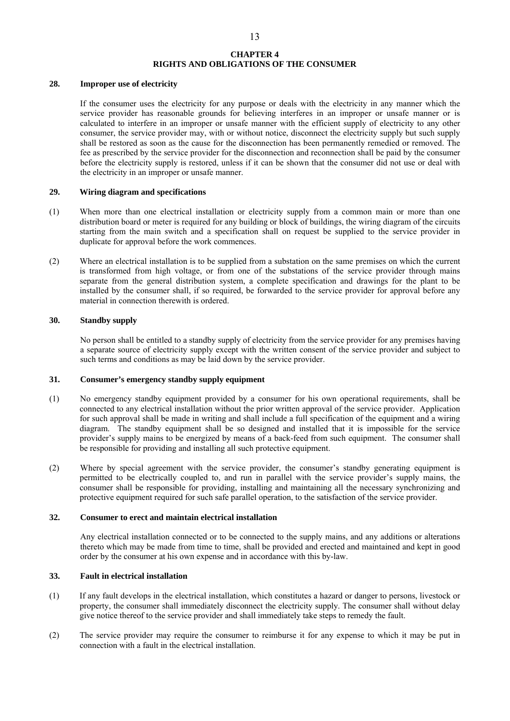### **CHAPTER 4 RIGHTS AND OBLIGATIONS OF THE CONSUMER**

#### **28. Improper use of electricity**

If the consumer uses the electricity for any purpose or deals with the electricity in any manner which the service provider has reasonable grounds for believing interferes in an improper or unsafe manner or is calculated to interfere in an improper or unsafe manner with the efficient supply of electricity to any other consumer, the service provider may, with or without notice, disconnect the electricity supply but such supply shall be restored as soon as the cause for the disconnection has been permanently remedied or removed. The fee as prescribed by the service provider for the disconnection and reconnection shall be paid by the consumer before the electricity supply is restored, unless if it can be shown that the consumer did not use or deal with the electricity in an improper or unsafe manner.

#### **29. Wiring diagram and specifications**

- (1) When more than one electrical installation or electricity supply from a common main or more than one distribution board or meter is required for any building or block of buildings, the wiring diagram of the circuits starting from the main switch and a specification shall on request be supplied to the service provider in duplicate for approval before the work commences.
- (2) Where an electrical installation is to be supplied from a substation on the same premises on which the current is transformed from high voltage, or from one of the substations of the service provider through mains separate from the general distribution system, a complete specification and drawings for the plant to be installed by the consumer shall, if so required, be forwarded to the service provider for approval before any material in connection therewith is ordered.

### **30. Standby supply**

 No person shall be entitled to a standby supply of electricity from the service provider for any premises having a separate source of electricity supply except with the written consent of the service provider and subject to such terms and conditions as may be laid down by the service provider.

### **31. Consumer's emergency standby supply equipment**

- (1) No emergency standby equipment provided by a consumer for his own operational requirements, shall be connected to any electrical installation without the prior written approval of the service provider. Application for such approval shall be made in writing and shall include a full specification of the equipment and a wiring diagram. The standby equipment shall be so designed and installed that it is impossible for the service provider's supply mains to be energized by means of a back-feed from such equipment. The consumer shall be responsible for providing and installing all such protective equipment.
- (2) Where by special agreement with the service provider, the consumer's standby generating equipment is permitted to be electrically coupled to, and run in parallel with the service provider's supply mains, the consumer shall be responsible for providing, installing and maintaining all the necessary synchronizing and protective equipment required for such safe parallel operation, to the satisfaction of the service provider.

#### **32. Consumer to erect and maintain electrical installation**

 Any electrical installation connected or to be connected to the supply mains, and any additions or alterations thereto which may be made from time to time, shall be provided and erected and maintained and kept in good order by the consumer at his own expense and in accordance with this by-law.

### **33. Fault in electrical installation**

- (1) If any fault develops in the electrical installation, which constitutes a hazard or danger to persons, livestock or property, the consumer shall immediately disconnect the electricity supply. The consumer shall without delay give notice thereof to the service provider and shall immediately take steps to remedy the fault.
- (2) The service provider may require the consumer to reimburse it for any expense to which it may be put in connection with a fault in the electrical installation.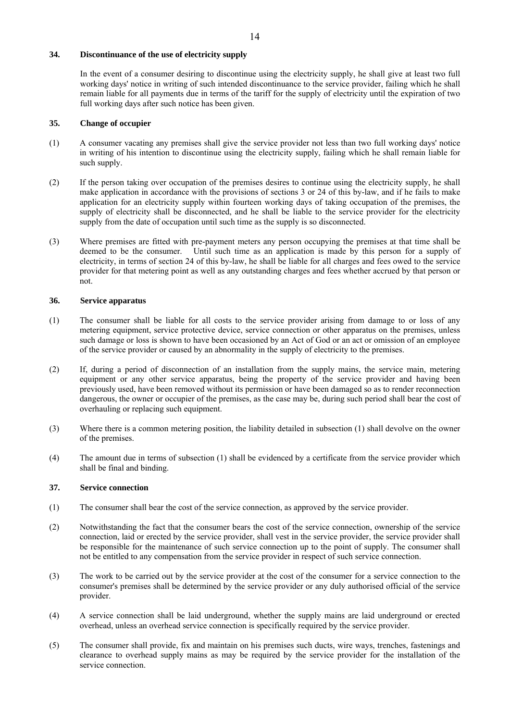# **34. Discontinuance of the use of electricity supply**

In the event of a consumer desiring to discontinue using the electricity supply, he shall give at least two full working days' notice in writing of such intended discontinuance to the service provider, failing which he shall remain liable for all payments due in terms of the tariff for the supply of electricity until the expiration of two full working days after such notice has been given.

### **35. Change of occupier**

- (1) A consumer vacating any premises shall give the service provider not less than two full working days' notice in writing of his intention to discontinue using the electricity supply, failing which he shall remain liable for such supply.
- (2) If the person taking over occupation of the premises desires to continue using the electricity supply, he shall make application in accordance with the provisions of sections 3 or 24 of this by-law, and if he fails to make application for an electricity supply within fourteen working days of taking occupation of the premises, the supply of electricity shall be disconnected, and he shall be liable to the service provider for the electricity supply from the date of occupation until such time as the supply is so disconnected.
- (3) Where premises are fitted with pre-payment meters any person occupying the premises at that time shall be deemed to be the consumer. Until such time as an application is made by this person for a supply of Until such time as an application is made by this person for a supply of electricity, in terms of section 24 of this by-law, he shall be liable for all charges and fees owed to the service provider for that metering point as well as any outstanding charges and fees whether accrued by that person or not.

### **36. Service apparatus**

- (1) The consumer shall be liable for all costs to the service provider arising from damage to or loss of any metering equipment, service protective device, service connection or other apparatus on the premises, unless such damage or loss is shown to have been occasioned by an Act of God or an act or omission of an employee of the service provider or caused by an abnormality in the supply of electricity to the premises.
- (2) If, during a period of disconnection of an installation from the supply mains, the service main, metering equipment or any other service apparatus, being the property of the service provider and having been previously used, have been removed without its permission or have been damaged so as to render reconnection dangerous, the owner or occupier of the premises, as the case may be, during such period shall bear the cost of overhauling or replacing such equipment.
- (3) Where there is a common metering position, the liability detailed in subsection (1) shall devolve on the owner of the premises.
- (4) The amount due in terms of subsection (1) shall be evidenced by a certificate from the service provider which shall be final and binding.

### **37. Service connection**

- (1) The consumer shall bear the cost of the service connection, as approved by the service provider.
- (2) Notwithstanding the fact that the consumer bears the cost of the service connection, ownership of the service connection, laid or erected by the service provider, shall vest in the service provider, the service provider shall be responsible for the maintenance of such service connection up to the point of supply. The consumer shall not be entitled to any compensation from the service provider in respect of such service connection.
- (3) The work to be carried out by the service provider at the cost of the consumer for a service connection to the consumer's premises shall be determined by the service provider or any duly authorised official of the service provider.
- (4) A service connection shall be laid underground, whether the supply mains are laid underground or erected overhead, unless an overhead service connection is specifically required by the service provider.
- (5) The consumer shall provide, fix and maintain on his premises such ducts, wire ways, trenches, fastenings and clearance to overhead supply mains as may be required by the service provider for the installation of the service connection.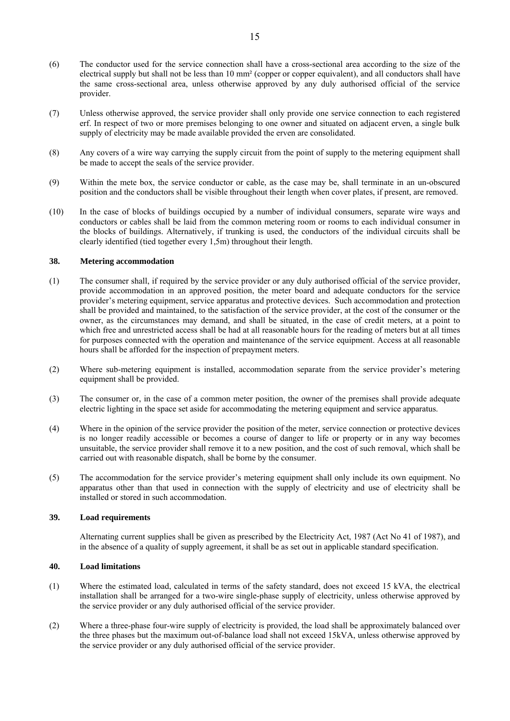- (6) The conductor used for the service connection shall have a cross-sectional area according to the size of the electrical supply but shall not be less than 10 mm² (copper or copper equivalent), and all conductors shall have the same cross-sectional area, unless otherwise approved by any duly authorised official of the service provider.
- (7) Unless otherwise approved, the service provider shall only provide one service connection to each registered erf. In respect of two or more premises belonging to one owner and situated on adjacent erven, a single bulk supply of electricity may be made available provided the erven are consolidated.
- (8) Any covers of a wire way carrying the supply circuit from the point of supply to the metering equipment shall be made to accept the seals of the service provider.
- (9) Within the mete box, the service conductor or cable, as the case may be, shall terminate in an un-obscured position and the conductors shall be visible throughout their length when cover plates, if present, are removed.
- (10) In the case of blocks of buildings occupied by a number of individual consumers, separate wire ways and conductors or cables shall be laid from the common metering room or rooms to each individual consumer in the blocks of buildings. Alternatively, if trunking is used, the conductors of the individual circuits shall be clearly identified (tied together every 1,5m) throughout their length.

### **38. Metering accommodation**

- (1) The consumer shall, if required by the service provider or any duly authorised official of the service provider, provide accommodation in an approved position, the meter board and adequate conductors for the service provider's metering equipment, service apparatus and protective devices. Such accommodation and protection shall be provided and maintained, to the satisfaction of the service provider, at the cost of the consumer or the owner, as the circumstances may demand, and shall be situated, in the case of credit meters, at a point to which free and unrestricted access shall be had at all reasonable hours for the reading of meters but at all times for purposes connected with the operation and maintenance of the service equipment. Access at all reasonable hours shall be afforded for the inspection of prepayment meters.
- (2) Where sub-metering equipment is installed, accommodation separate from the service provider's metering equipment shall be provided.
- (3) The consumer or, in the case of a common meter position, the owner of the premises shall provide adequate electric lighting in the space set aside for accommodating the metering equipment and service apparatus.
- (4) Where in the opinion of the service provider the position of the meter, service connection or protective devices is no longer readily accessible or becomes a course of danger to life or property or in any way becomes unsuitable, the service provider shall remove it to a new position, and the cost of such removal, which shall be carried out with reasonable dispatch, shall be borne by the consumer.
- (5) The accommodation for the service provider's metering equipment shall only include its own equipment. No apparatus other than that used in connection with the supply of electricity and use of electricity shall be installed or stored in such accommodation.

### **39. Load requirements**

Alternating current supplies shall be given as prescribed by the Electricity Act, 1987 (Act No 41 of 1987), and in the absence of a quality of supply agreement, it shall be as set out in applicable standard specification.

### **40. Load limitations**

- (1) Where the estimated load, calculated in terms of the safety standard, does not exceed 15 kVA, the electrical installation shall be arranged for a two-wire single-phase supply of electricity, unless otherwise approved by the service provider or any duly authorised official of the service provider.
- (2) Where a three-phase four-wire supply of electricity is provided, the load shall be approximately balanced over the three phases but the maximum out-of-balance load shall not exceed 15kVA, unless otherwise approved by the service provider or any duly authorised official of the service provider.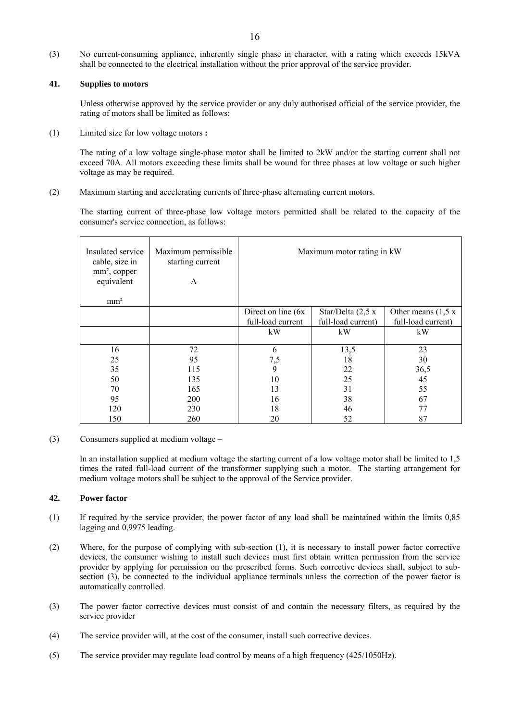(3) No current-consuming appliance, inherently single phase in character, with a rating which exceeds 15kVA shall be connected to the electrical installation without the prior approval of the service provider.

### **41. Supplies to motors**

 Unless otherwise approved by the service provider or any duly authorised official of the service provider, the rating of motors shall be limited as follows:

(1) Limited size for low voltage motors **:** 

 The rating of a low voltage single-phase motor shall be limited to 2kW and/or the starting current shall not exceed 70A. All motors exceeding these limits shall be wound for three phases at low voltage or such higher voltage as may be required.

(2) Maximum starting and accelerating currents of three-phase alternating current motors.

The starting current of three-phase low voltage motors permitted shall be related to the capacity of the consumer's service connection, as follows:

| Insulated service<br>cable, size in<br>$mm2$ , copper<br>equivalent<br>mm <sup>2</sup> | Maximum permissible<br>starting current<br>A | Maximum motor rating in kW |                      |                       |
|----------------------------------------------------------------------------------------|----------------------------------------------|----------------------------|----------------------|-----------------------|
|                                                                                        |                                              | Direct on line $(6x)$      | Star/Delta $(2,5 x)$ | Other means $(1,5 x)$ |
|                                                                                        |                                              | full-load current          | full-load current)   | full-load current)    |
|                                                                                        |                                              | kW                         | kW                   | kW                    |
| 16                                                                                     | 72                                           | 6                          | 13,5                 | 23                    |
| 25                                                                                     | 95                                           | 7,5                        | 18                   | 30                    |
| 35                                                                                     | 115                                          | 9                          | 22                   | 36,5                  |
| 50                                                                                     | 135                                          | 10                         | 25                   | 45                    |
| 70                                                                                     | 165                                          | 13                         | 31                   | 55                    |
| 95                                                                                     | <b>200</b>                                   | 16                         | 38                   | 67                    |
| 120                                                                                    | 230                                          | 18                         | 46                   | 77                    |
| 150                                                                                    | 260                                          | 20                         | 52                   | 87                    |

(3) Consumers supplied at medium voltage –

In an installation supplied at medium voltage the starting current of a low voltage motor shall be limited to 1,5 times the rated full-load current of the transformer supplying such a motor. The starting arrangement for medium voltage motors shall be subject to the approval of the Service provider.

### **42. Power factor**

- (1) If required by the service provider, the power factor of any load shall be maintained within the limits 0,85 lagging and 0,9975 leading.
- (2) Where, for the purpose of complying with sub-section (1), it is necessary to install power factor corrective devices, the consumer wishing to install such devices must first obtain written permission from the service provider by applying for permission on the prescribed forms. Such corrective devices shall, subject to subsection (3), be connected to the individual appliance terminals unless the correction of the power factor is automatically controlled.
- (3) The power factor corrective devices must consist of and contain the necessary filters, as required by the service provider
- (4) The service provider will, at the cost of the consumer, install such corrective devices.
- (5) The service provider may regulate load control by means of a high frequency (425/1050Hz).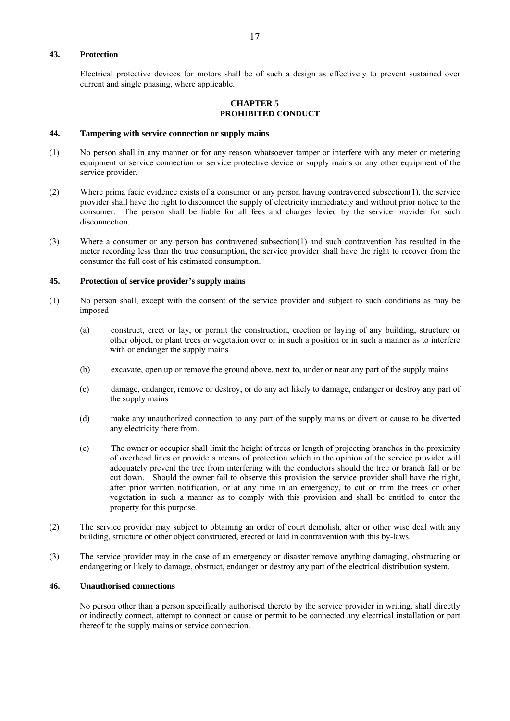### **43. Protection**

Electrical protective devices for motors shall be of such a design as effectively to prevent sustained over current and single phasing, where applicable.

### **CHAPTER 5 PROHIBITED CONDUCT**

#### **44. Tampering with service connection or supply mains**

- (1) No person shall in any manner or for any reason whatsoever tamper or interfere with any meter or metering equipment or service connection or service protective device or supply mains or any other equipment of the service provider.
- (2) Where prima facie evidence exists of a consumer or any person having contravened subsection(1), the service provider shall have the right to disconnect the supply of electricity immediately and without prior notice to the consumer. The person shall be liable for all fees and charges levied by the service provider for such disconnection.
- (3) Where a consumer or any person has contravened subsection(1) and such contravention has resulted in the meter recording less than the true consumption, the service provider shall have the right to recover from the consumer the full cost of his estimated consumption.

#### **45. Protection of service provider's supply mains**

- (1) No person shall, except with the consent of the service provider and subject to such conditions as may be imposed :
	- (a) construct, erect or lay, or permit the construction, erection or laying of any building, structure or other object, or plant trees or vegetation over or in such a position or in such a manner as to interfere with or endanger the supply mains
	- (b) excavate, open up or remove the ground above, next to, under or near any part of the supply mains
	- (c) damage, endanger, remove or destroy, or do any act likely to damage, endanger or destroy any part of the supply mains
	- (d) make any unauthorized connection to any part of the supply mains or divert or cause to be diverted any electricity there from.
	- (e) The owner or occupier shall limit the height of trees or length of projecting branches in the proximity of overhead lines or provide a means of protection which in the opinion of the service provider will adequately prevent the tree from interfering with the conductors should the tree or branch fall or be cut down. Should the owner fail to observe this provision the service provider shall have the right, after prior written notification, or at any time in an emergency, to cut or trim the trees or other vegetation in such a manner as to comply with this provision and shall be entitled to enter the property for this purpose.
- (2) The service provider may subject to obtaining an order of court demolish, alter or other wise deal with any building, structure or other object constructed, erected or laid in contravention with this by-laws.
- (3) The service provider may in the case of an emergency or disaster remove anything damaging, obstructing or endangering or likely to damage, obstruct, endanger or destroy any part of the electrical distribution system.

#### **46. Unauthorised connections**

No person other than a person specifically authorised thereto by the service provider in writing, shall directly or indirectly connect, attempt to connect or cause or permit to be connected any electrical installation or part thereof to the supply mains or service connection.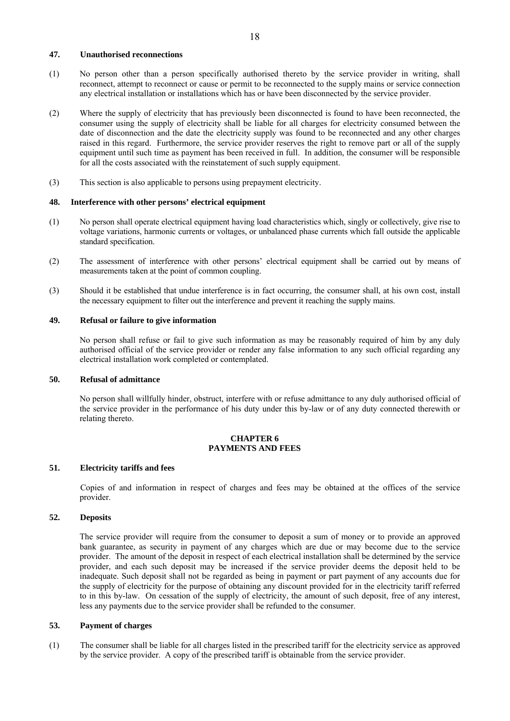### **47. Unauthorised reconnections**

- (1) No person other than a person specifically authorised thereto by the service provider in writing, shall reconnect, attempt to reconnect or cause or permit to be reconnected to the supply mains or service connection any electrical installation or installations which has or have been disconnected by the service provider.
- (2) Where the supply of electricity that has previously been disconnected is found to have been reconnected, the consumer using the supply of electricity shall be liable for all charges for electricity consumed between the date of disconnection and the date the electricity supply was found to be reconnected and any other charges raised in this regard. Furthermore, the service provider reserves the right to remove part or all of the supply equipment until such time as payment has been received in full. In addition, the consumer will be responsible for all the costs associated with the reinstatement of such supply equipment.
- (3) This section is also applicable to persons using prepayment electricity.

#### **48. Interference with other persons' electrical equipment**

- (1) No person shall operate electrical equipment having load characteristics which, singly or collectively, give rise to voltage variations, harmonic currents or voltages, or unbalanced phase currents which fall outside the applicable standard specification.
- (2) The assessment of interference with other persons' electrical equipment shall be carried out by means of measurements taken at the point of common coupling.
- (3) Should it be established that undue interference is in fact occurring, the consumer shall, at his own cost, install the necessary equipment to filter out the interference and prevent it reaching the supply mains.

### **49. Refusal or failure to give information**

No person shall refuse or fail to give such information as may be reasonably required of him by any duly authorised official of the service provider or render any false information to any such official regarding any electrical installation work completed or contemplated.

### **50. Refusal of admittance**

No person shall willfully hinder, obstruct, interfere with or refuse admittance to any duly authorised official of the service provider in the performance of his duty under this by-law or of any duty connected therewith or relating thereto.

### **CHAPTER 6 PAYMENTS AND FEES**

#### **51. Electricity tariffs and fees**

Copies of and information in respect of charges and fees may be obtained at the offices of the service provider.

#### **52. Deposits**

The service provider will require from the consumer to deposit a sum of money or to provide an approved bank guarantee, as security in payment of any charges which are due or may become due to the service provider. The amount of the deposit in respect of each electrical installation shall be determined by the service provider, and each such deposit may be increased if the service provider deems the deposit held to be inadequate. Such deposit shall not be regarded as being in payment or part payment of any accounts due for the supply of electricity for the purpose of obtaining any discount provided for in the electricity tariff referred to in this by-law. On cessation of the supply of electricity, the amount of such deposit, free of any interest, less any payments due to the service provider shall be refunded to the consumer.

### **53. Payment of charges**

(1) The consumer shall be liable for all charges listed in the prescribed tariff for the electricity service as approved by the service provider. A copy of the prescribed tariff is obtainable from the service provider.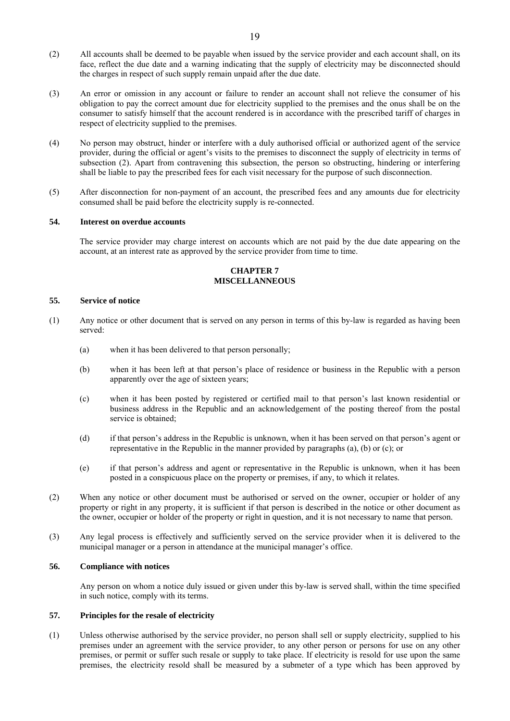- (2) All accounts shall be deemed to be payable when issued by the service provider and each account shall, on its face, reflect the due date and a warning indicating that the supply of electricity may be disconnected should the charges in respect of such supply remain unpaid after the due date.
- (3) An error or omission in any account or failure to render an account shall not relieve the consumer of his obligation to pay the correct amount due for electricity supplied to the premises and the onus shall be on the consumer to satisfy himself that the account rendered is in accordance with the prescribed tariff of charges in respect of electricity supplied to the premises.
- (4) No person may obstruct, hinder or interfere with a duly authorised official or authorized agent of the service provider, during the official or agent's visits to the premises to disconnect the supply of electricity in terms of subsection (2). Apart from contravening this subsection, the person so obstructing, hindering or interfering shall be liable to pay the prescribed fees for each visit necessary for the purpose of such disconnection.
- (5) After disconnection for non-payment of an account, the prescribed fees and any amounts due for electricity consumed shall be paid before the electricity supply is re-connected.

#### **54. Interest on overdue accounts**

The service provider may charge interest on accounts which are not paid by the due date appearing on the account, at an interest rate as approved by the service provider from time to time.

### **CHAPTER 7 MISCELLANNEOUS**

#### **55. Service of notice**

- (1) Any notice or other document that is served on any person in terms of this by-law is regarded as having been served:
	- (a) when it has been delivered to that person personally;
	- (b) when it has been left at that person's place of residence or business in the Republic with a person apparently over the age of sixteen years;
	- (c) when it has been posted by registered or certified mail to that person's last known residential or business address in the Republic and an acknowledgement of the posting thereof from the postal service is obtained;
	- (d) if that person's address in the Republic is unknown, when it has been served on that person's agent or representative in the Republic in the manner provided by paragraphs (a), (b) or (c); or
	- (e) if that person's address and agent or representative in the Republic is unknown, when it has been posted in a conspicuous place on the property or premises, if any, to which it relates.
- (2) When any notice or other document must be authorised or served on the owner, occupier or holder of any property or right in any property, it is sufficient if that person is described in the notice or other document as the owner, occupier or holder of the property or right in question, and it is not necessary to name that person.
- (3) Any legal process is effectively and sufficiently served on the service provider when it is delivered to the municipal manager or a person in attendance at the municipal manager's office.

### **56. Compliance with notices**

Any person on whom a notice duly issued or given under this by-law is served shall, within the time specified in such notice, comply with its terms.

### **57. Principles for the resale of electricity**

(1) Unless otherwise authorised by the service provider, no person shall sell or supply electricity, supplied to his premises under an agreement with the service provider, to any other person or persons for use on any other premises, or permit or suffer such resale or supply to take place. If electricity is resold for use upon the same premises, the electricity resold shall be measured by a submeter of a type which has been approved by